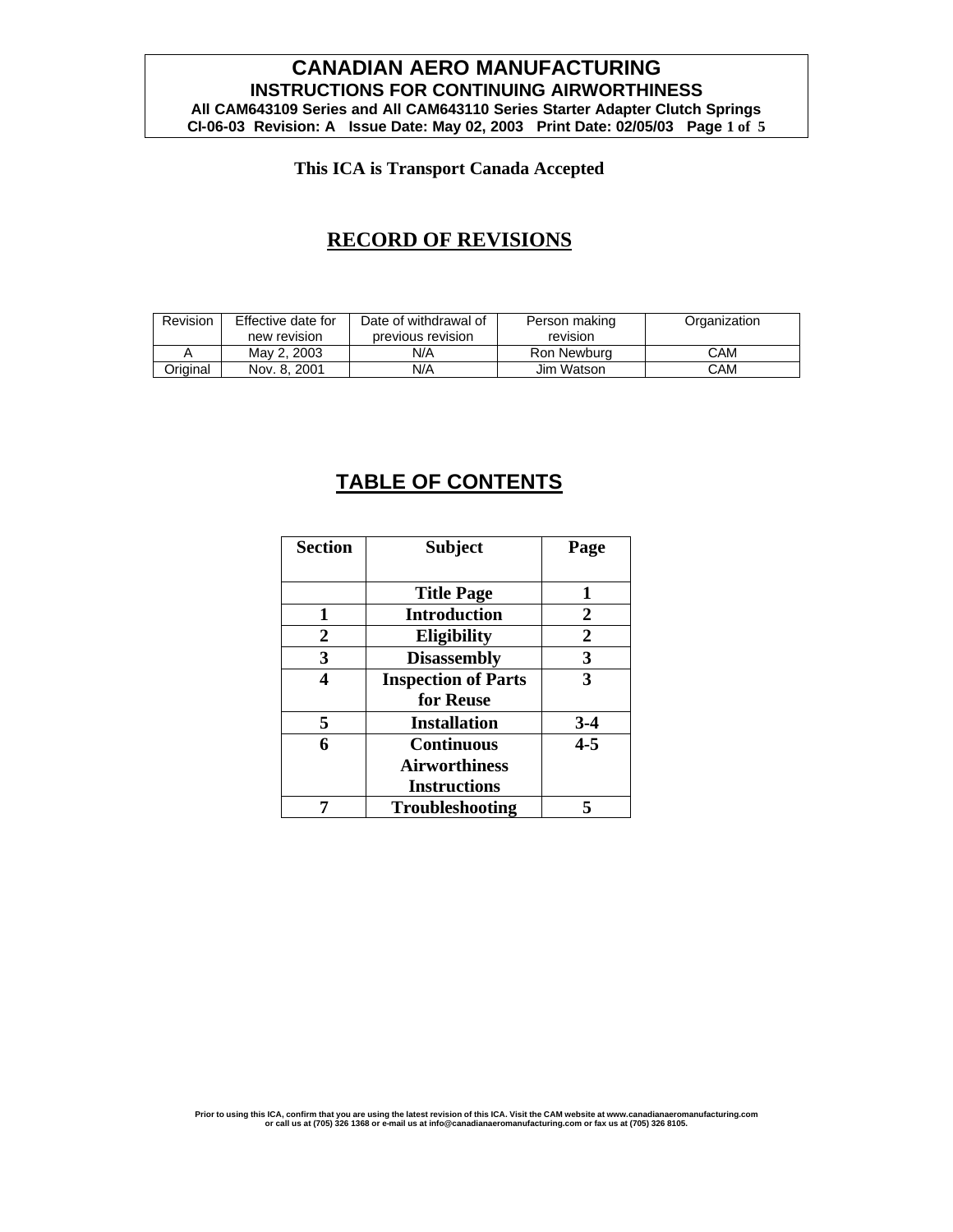### **CANADIAN AERO MANUFACTURING INSTRUCTIONS FOR CONTINUING AIRWORTHINESS All CAM643109 Series and All CAM643110 Series Starter Adapter Clutch Springs CI-06-03 Revision: A Issue Date: May 02, 2003 Print Date: 02/05/03 Page 1 of 5**

### **This ICA is Transport Canada Accepted**

## **RECORD OF REVISIONS**

| <b>Revision</b> | Effective date for | Date of withdrawal of | Person making | Organization |
|-----------------|--------------------|-----------------------|---------------|--------------|
|                 | new revision       | previous revision     | revision      |              |
|                 | May 2, 2003        | N/A                   | Ron Newburg   | CAM          |
| Original        | Nov. 8, 2001       | N/A                   | Jim Watson    | <b>CAM</b>   |

# **TABLE OF CONTENTS**

| <b>Section</b>   | <b>Subject</b>             | Page             |
|------------------|----------------------------|------------------|
|                  |                            |                  |
|                  | <b>Title Page</b>          | 1                |
| 1                | <b>Introduction</b>        | 2                |
| $\boldsymbol{2}$ | Eligibility                | $\boldsymbol{2}$ |
| 3                | <b>Disassembly</b>         | 3                |
|                  | <b>Inspection of Parts</b> | 3                |
|                  | for Reuse                  |                  |
| 5                | <b>Installation</b>        | $3-4$            |
| 6                | <b>Continuous</b>          | $4 - 5$          |
|                  | <b>Airworthiness</b>       |                  |
|                  | <b>Instructions</b>        |                  |
|                  | <b>Troubleshooting</b>     |                  |

Prior to using this ICA, confirm that you are using the latest revision of this ICA. Visit the CAM website at www.canadianaeromanufacturing.com<br>or call us at (705) 326 1368 or e-mail us at info@canadianaeromanufacturing.co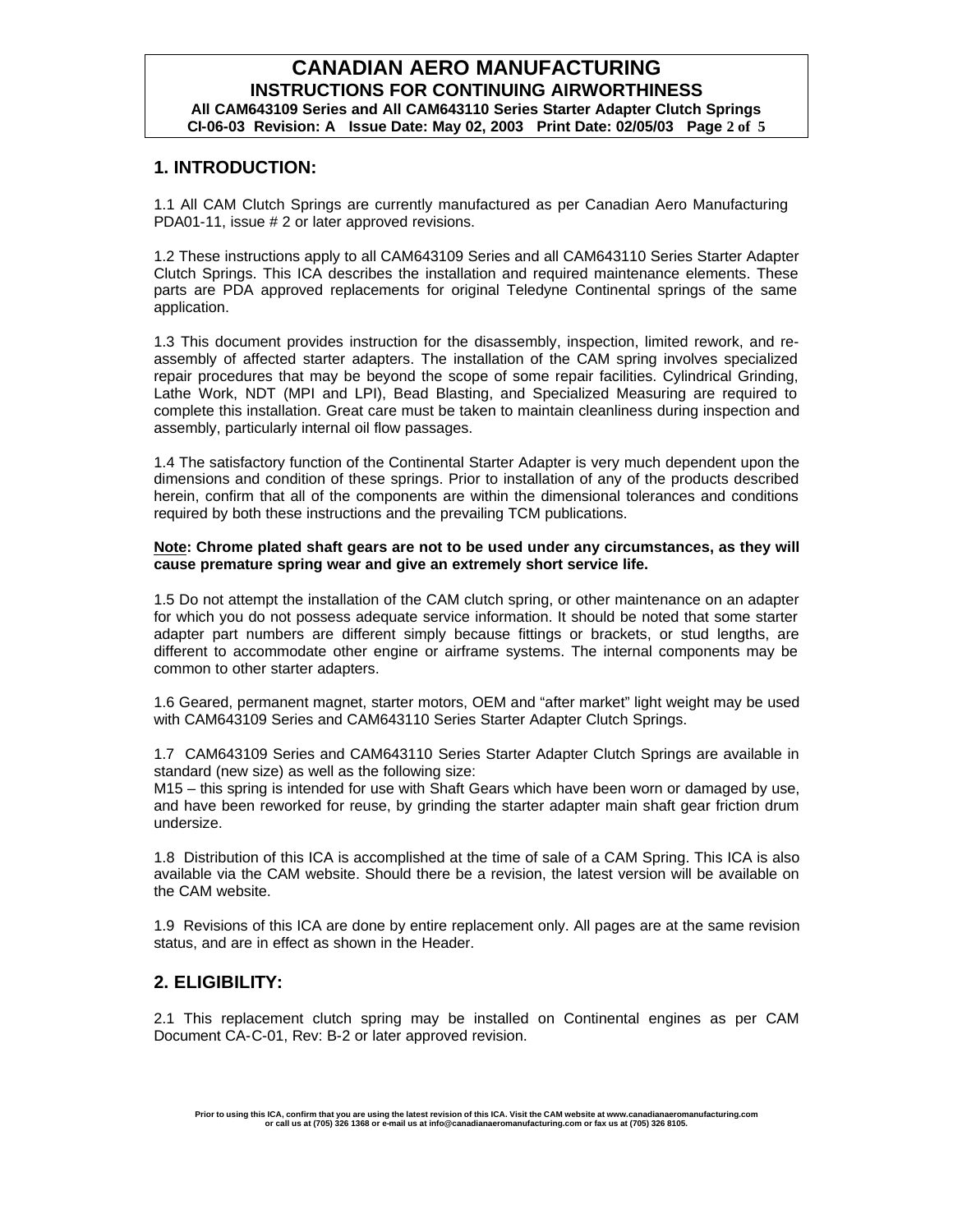### **1. INTRODUCTION:**

1.1 All CAM Clutch Springs are currently manufactured as per Canadian Aero Manufacturing PDA01-11, issue # 2 or later approved revisions.

1.2 These instructions apply to all CAM643109 Series and all CAM643110 Series Starter Adapter Clutch Springs. This ICA describes the installation and required maintenance elements. These parts are PDA approved replacements for original Teledyne Continental springs of the same application.

1.3 This document provides instruction for the disassembly, inspection, limited rework, and reassembly of affected starter adapters. The installation of the CAM spring involves specialized repair procedures that may be beyond the scope of some repair facilities. Cylindrical Grinding, Lathe Work, NDT (MPI and LPI), Bead Blasting, and Specialized Measuring are required to complete this installation. Great care must be taken to maintain cleanliness during inspection and assembly, particularly internal oil flow passages.

1.4 The satisfactory function of the Continental Starter Adapter is very much dependent upon the dimensions and condition of these springs. Prior to installation of any of the products described herein, confirm that all of the components are within the dimensional tolerances and conditions required by both these instructions and the prevailing TCM publications.

#### **Note: Chrome plated shaft gears are not to be used under any circumstances, as they will cause premature spring wear and give an extremely short service life.**

1.5 Do not attempt the installation of the CAM clutch spring, or other maintenance on an adapter for which you do not possess adequate service information. It should be noted that some starter adapter part numbers are different simply because fittings or brackets, or stud lengths, are different to accommodate other engine or airframe systems. The internal components may be common to other starter adapters.

1.6 Geared, permanent magnet, starter motors, OEM and "after market" light weight may be used with CAM643109 Series and CAM643110 Series Starter Adapter Clutch Springs.

1.7 CAM643109 Series and CAM643110 Series Starter Adapter Clutch Springs are available in standard (new size) as well as the following size:

M15 – this spring is intended for use with Shaft Gears which have been worn or damaged by use, and have been reworked for reuse, by grinding the starter adapter main shaft gear friction drum undersize.

1.8 Distribution of this ICA is accomplished at the time of sale of a CAM Spring. This ICA is also available via the CAM website. Should there be a revision, the latest version will be available on the CAM website.

1.9 Revisions of this ICA are done by entire replacement only. All pages are at the same revision status, and are in effect as shown in the Header.

### **2. ELIGIBILITY:**

2.1 This replacement clutch spring may be installed on Continental engines as per CAM Document CA-C-01, Rev: B-2 or later approved revision.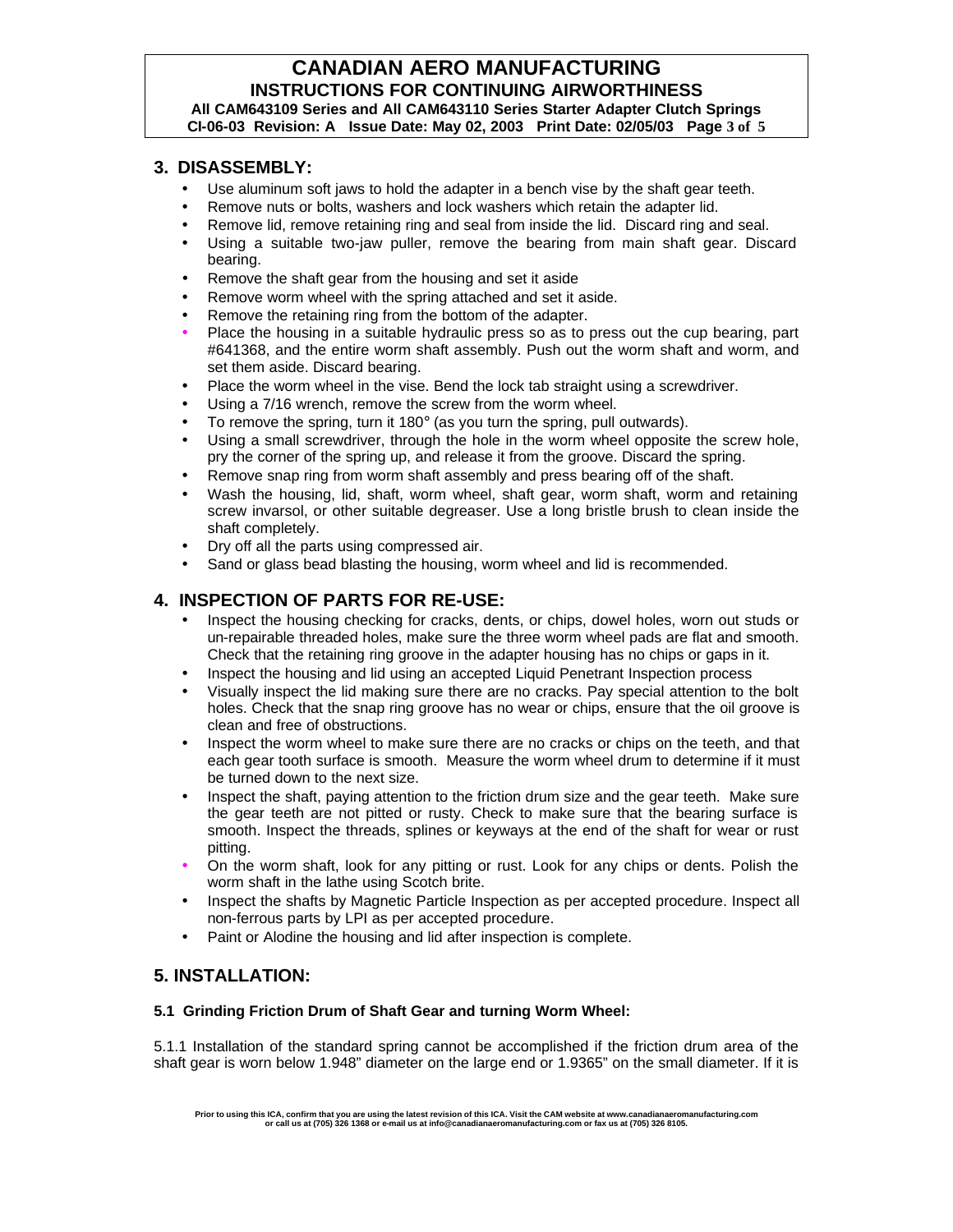### **CANADIAN AERO MANUFACTURING INSTRUCTIONS FOR CONTINUING AIRWORTHINESS All CAM643109 Series and All CAM643110 Series Starter Adapter Clutch Springs CI-06-03 Revision: A Issue Date: May 02, 2003 Print Date: 02/05/03 Page 3 of 5**

### **3. DISASSEMBLY:**

- Use aluminum soft jaws to hold the adapter in a bench vise by the shaft gear teeth.
- Remove nuts or bolts, washers and lock washers which retain the adapter lid.
- Remove lid, remove retaining ring and seal from inside the lid. Discard ring and seal.
- Using a suitable two-jaw puller, remove the bearing from main shaft gear. Discard bearing.
- Remove the shaft gear from the housing and set it aside
- Remove worm wheel with the spring attached and set it aside.
- Remove the retaining ring from the bottom of the adapter.
- Place the housing in a suitable hydraulic press so as to press out the cup bearing, part #641368, and the entire worm shaft assembly. Push out the worm shaft and worm, and set them aside. Discard bearing.
- Place the worm wheel in the vise. Bend the lock tab straight using a screwdriver.
- Using a 7/16 wrench, remove the screw from the worm wheel.
- To remove the spring, turn it 180 $^{\circ}$  (as you turn the spring, pull outwards).
- Using a small screwdriver, through the hole in the worm wheel opposite the screw hole, pry the corner of the spring up, and release it from the groove. Discard the spring.
- Remove snap ring from worm shaft assembly and press bearing off of the shaft.
- Wash the housing, lid, shaft, worm wheel, shaft gear, worm shaft, worm and retaining screw invarsol, or other suitable degreaser. Use a long bristle brush to clean inside the shaft completely.
- Dry off all the parts using compressed air.
- Sand or glass bead blasting the housing, worm wheel and lid is recommended.

### **4. INSPECTION OF PARTS FOR RE-USE:**

- Inspect the housing checking for cracks, dents, or chips, dowel holes, worn out studs or un-repairable threaded holes, make sure the three worm wheel pads are flat and smooth. Check that the retaining ring groove in the adapter housing has no chips or gaps in it.
- Inspect the housing and lid using an accepted Liquid Penetrant Inspection process
- Visually inspect the lid making sure there are no cracks. Pay special attention to the bolt holes. Check that the snap ring groove has no wear or chips, ensure that the oil groove is clean and free of obstructions.
- Inspect the worm wheel to make sure there are no cracks or chips on the teeth, and that each gear tooth surface is smooth. Measure the worm wheel drum to determine if it must be turned down to the next size.
- Inspect the shaft, paying attention to the friction drum size and the gear teeth. Make sure the gear teeth are not pitted or rusty. Check to make sure that the bearing surface is smooth. Inspect the threads, splines or keyways at the end of the shaft for wear or rust pitting.
- On the worm shaft, look for any pitting or rust. Look for any chips or dents. Polish the worm shaft in the lathe using Scotch brite.
- Inspect the shafts by Magnetic Particle Inspection as per accepted procedure. Inspect all non-ferrous parts by LPI as per accepted procedure.
- Paint or Alodine the housing and lid after inspection is complete.

### **5. INSTALLATION:**

#### **5.1 Grinding Friction Drum of Shaft Gear and turning Worm Wheel:**

5.1.1 Installation of the standard spring cannot be accomplished if the friction drum area of the shaft gear is worn below 1.948" diameter on the large end or 1.9365" on the small diameter. If it is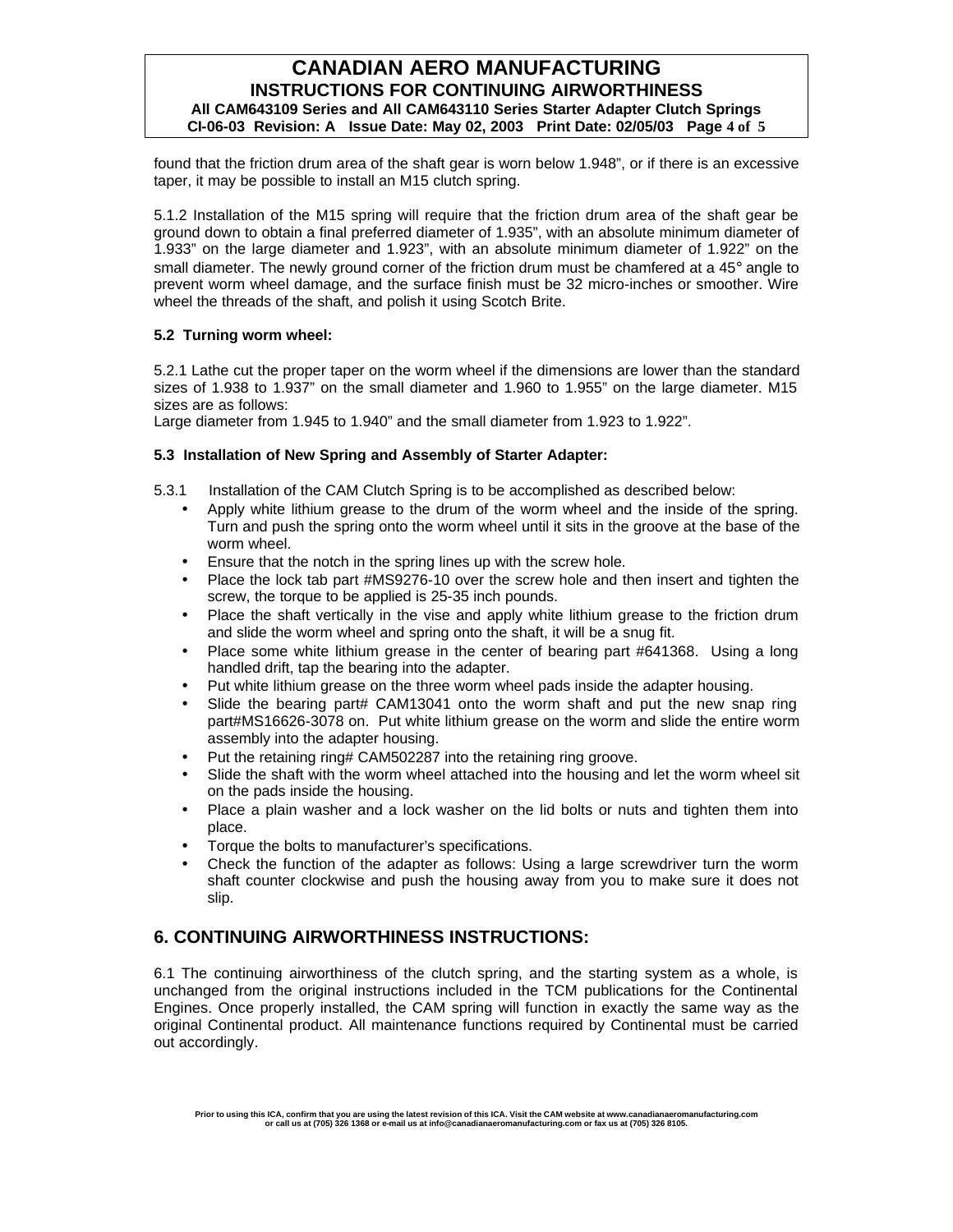### **CANADIAN AERO MANUFACTURING INSTRUCTIONS FOR CONTINUING AIRWORTHINESS All CAM643109 Series and All CAM643110 Series Starter Adapter Clutch Springs CI-06-03 Revision: A Issue Date: May 02, 2003 Print Date: 02/05/03 Page 4 of 5**

found that the friction drum area of the shaft gear is worn below 1.948", or if there is an excessive taper, it may be possible to install an M15 clutch spring.

5.1.2 Installation of the M15 spring will require that the friction drum area of the shaft gear be ground down to obtain a final preferred diameter of 1.935", with an absolute minimum diameter of 1.933" on the large diameter and 1.923", with an absolute minimum diameter of 1.922" on the small diameter. The newly ground corner of the friction drum must be chamfered at a 45° angle to prevent worm wheel damage, and the surface finish must be 32 micro-inches or smoother. Wire wheel the threads of the shaft, and polish it using Scotch Brite.

#### **5.2 Turning worm wheel:**

5.2.1 Lathe cut the proper taper on the worm wheel if the dimensions are lower than the standard sizes of 1.938 to 1.937" on the small diameter and 1.960 to 1.955" on the large diameter. M15 sizes are as follows:

Large diameter from 1.945 to 1.940" and the small diameter from 1.923 to 1.922".

#### **5.3 Installation of New Spring and Assembly of Starter Adapter:**

- 5.3.1 Installation of the CAM Clutch Spring is to be accomplished as described below:
	- Apply white lithium grease to the drum of the worm wheel and the inside of the spring. Turn and push the spring onto the worm wheel until it sits in the groove at the base of the worm wheel.
	- Ensure that the notch in the spring lines up with the screw hole.
	- Place the lock tab part #MS9276-10 over the screw hole and then insert and tighten the screw, the torque to be applied is 25-35 inch pounds.
	- Place the shaft vertically in the vise and apply white lithium grease to the friction drum and slide the worm wheel and spring onto the shaft, it will be a snug fit.
	- Place some white lithium grease in the center of bearing part #641368. Using a long handled drift, tap the bearing into the adapter.
	- Put white lithium grease on the three worm wheel pads inside the adapter housing.
	- Slide the bearing part# CAM13041 onto the worm shaft and put the new snap ring part#MS16626-3078 on. Put white lithium grease on the worm and slide the entire worm assembly into the adapter housing.
	- Put the retaining ring# CAM502287 into the retaining ring groove.
	- Slide the shaft with the worm wheel attached into the housing and let the worm wheel sit on the pads inside the housing.
	- Place a plain washer and a lock washer on the lid bolts or nuts and tighten them into place.
	- Torque the bolts to manufacturer's specifications.
	- Check the function of the adapter as follows: Using a large screwdriver turn the worm shaft counter clockwise and push the housing away from you to make sure it does not slip.

### **6. CONTINUING AIRWORTHINESS INSTRUCTIONS:**

6.1 The continuing airworthiness of the clutch spring, and the starting system as a whole, is unchanged from the original instructions included in the TCM publications for the Continental Engines. Once properly installed, the CAM spring will function in exactly the same way as the original Continental product. All maintenance functions required by Continental must be carried out accordingly.